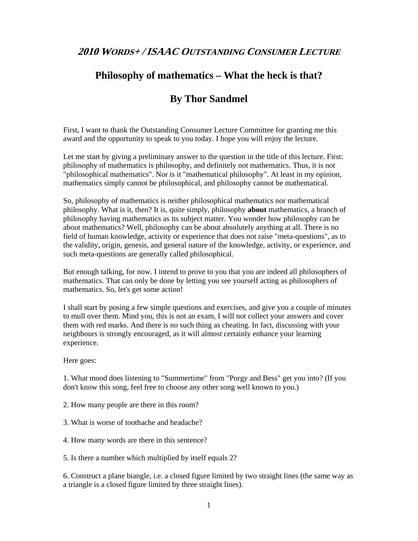## **2010 WORDS+ /ISAAC OUTSTANDING CONSUMER LECTURE**

## **Philosophy of mathematics – What the heck is that?**

## **By Thor Sandmel**

First, I want to thank the Outstanding Consumer Lecture Committee for granting me this award and the opportunity to speak to you today. I hope you will enjoy the lecture.

Let me start by giving a preliminary answer to the question in the title of this lecture. First: philosophy of mathematics is philosophy, and definitely not mathematics. Thus, it is not "philosophical mathematics". Nor is it "mathematical philosophy". At least in my opinion, mathematics simply cannot be philosophical, and philosophy cannot be mathematical.

So, philosophy of mathematics is neither philosophical mathematics nor mathematical philosophy. What is it, then? It is, quite simply, philosophy **about** mathematics, a branch of philosophy having mathematics as its subject matter. You wonder how philosophy can be about mathematics? Well, philosophy can be about absolutely anything at all. There is no field of human knowledge, activity or experience that does not raise "meta-questions", as to the validity, origin, genesis, and general nature of the knowledge, activity, or experience, and such meta-questions are generally called philosophical.

But enough talking, for now. I intend to prove to you that you are indeed all philosophers of mathematics. That can only be done by letting you see yourself acting as philosophers of mathematics. So, let's get some action!

I shall start by posing a few simple questions and exercises, and give you a couple of minutes to mull over them. Mind you, this is not an exam, I will not collect your answers and cover them with red marks. And there is no such thing as cheating. In fact, discussing with your neighbours is strongly encouraged, as it will almost certainly enhance your learning experience.

Here goes:

1. What mood does listening to "Summertime" from "Porgy and Bess" get you into? (If you don't know this song, feel free to choose any other song well known to you.)

2. How many people are there in this room?

- 3. What is worse of toothache and headache?
- 4. How many words are there in this sentence?

5. Is there a number which multiplied by itself equals 2?

6. Construct a plane biangle, i.e. a closed figure limited by two straight lines (the same way as a triangle is a closed figure limited by three straight lines).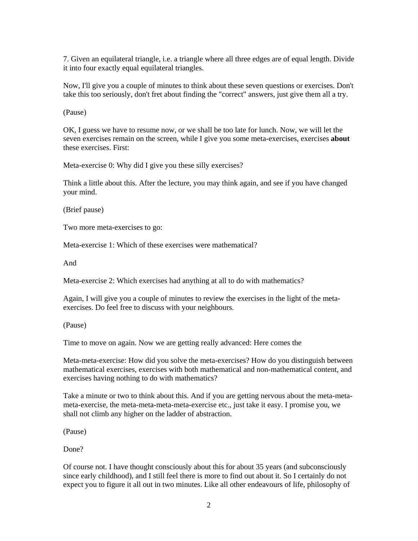7. Given an equilateral triangle, i.e. a triangle where all three edges are of equal length. Divide it into four exactly equal equilateral triangles.

Now, I'll give you a couple of minutes to think about these seven questions or exercises. Don't take this too seriously, don't fret about finding the "correct" answers, just give them all a try.

(Pause)

OK, I guess we have to resume now, or we shall be too late for lunch. Now, we will let the seven exercises remain on the screen, while I give you some meta-exercises, exercises **about** these exercises. First:

Meta-exercise 0: Why did I give you these silly exercises?

Think a little about this. After the lecture, you may think again, and see if you have changed your mind.

(Brief pause)

Two more meta-exercises to go:

Meta-exercise 1: Which of these exercises were mathematical?

And

Meta-exercise 2: Which exercises had anything at all to do with mathematics?

Again, I will give you a couple of minutes to review the exercises in the light of the metaexercises. Do feel free to discuss with your neighbours.

(Pause)

Time to move on again. Now we are getting really advanced: Here comes the

Meta-meta-exercise: How did you solve the meta-exercises? How do you distinguish between mathematical exercises, exercises with both mathematical and non-mathematical content, and exercises having nothing to do with mathematics?

Take a minute or two to think about this. And if you are getting nervous about the meta-metameta-exercise, the meta-meta-meta-meta-exercise etc., just take it easy. I promise you, we shall not climb any higher on the ladder of abstraction.

(Pause)

Done?

Of course not. I have thought consciously about this for about 35 years (and subconsciously since early childhood), and I still feel there is more to find out about it. So I certainly do not expect you to figure it all out in two minutes. Like all other endeavours of life, philosophy of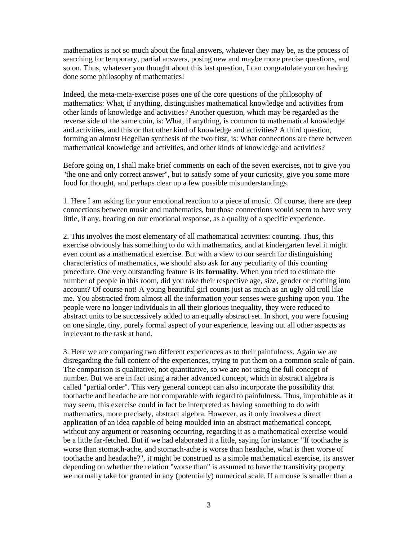mathematics is not so much about the final answers, whatever they may be, as the process of searching for temporary, partial answers, posing new and maybe more precise questions, and so on. Thus, whatever you thought about this last question, I can congratulate you on having done some philosophy of mathematics!

Indeed, the meta-meta-exercise poses one of the core questions of the philosophy of mathematics: What, if anything, distinguishes mathematical knowledge and activities from other kinds of knowledge and activities? Another question, which may be regarded as the reverse side of the same coin, is: What, if anything, is common to mathematical knowledge and activities, and this or that other kind of knowledge and activities? A third question, forming an almost Hegelian synthesis of the two first, is: What connections are there between mathematical knowledge and activities, and other kinds of knowledge and activities?

Before going on, I shall make brief comments on each of the seven exercises, not to give you "the one and only correct answer", but to satisfy some of your curiosity, give you some more food for thought, and perhaps clear up a few possible misunderstandings.

1. Here I am asking for your emotional reaction to a piece of music. Of course, there are deep connections between music and mathematics, but those connections would seem to have very little, if any, bearing on our emotional response, as a quality of a specific experience.

2. This involves the most elementary of all mathematical activities: counting. Thus, this exercise obviously has something to do with mathematics, and at kindergarten level it might even count as a mathematical exercise. But with a view to our search for distinguishing characteristics of mathematics, we should also ask for any peculiarity of this counting procedure. One very outstanding feature is its **formality**. When you tried to estimate the number of people in this room, did you take their respective age, size, gender or clothing into account? Of course not! A young beautiful girl counts just as much as an ugly old troll like me. You abstracted from almost all the information your senses were gushing upon you. The people were no longer individuals in all their glorious inequality, they were reduced to abstract units to be successively added to an equally abstract set. In short, you were focusing on one single, tiny, purely formal aspect of your experience, leaving out all other aspects as irrelevant to the task at hand.

3. Here we are comparing two different experiences as to their painfulness. Again we are disregarding the full content of the experiences, trying to put them on a common scale of pain. The comparison is qualitative, not quantitative, so we are not using the full concept of number. But we are in fact using a rather advanced concept, which in abstract algebra is called "partial order". This very general concept can also incorporate the possibility that toothache and headache are not comparable with regard to painfulness. Thus, improbable as it may seem, this exercise could in fact be interpreted as having something to do with mathematics, more precisely, abstract algebra. However, as it only involves a direct application of an idea capable of being moulded into an abstract mathematical concept, without any argument or reasoning occurring, regarding it as a mathematical exercise would be a little far-fetched. But if we had elaborated it a little, saying for instance: "If toothache is worse than stomach-ache, and stomach-ache is worse than headache, what is then worse of toothache and headache?", it might be construed as a simple mathematical exercise, its answer depending on whether the relation "worse than" is assumed to have the transitivity property we normally take for granted in any (potentially) numerical scale. If a mouse is smaller than a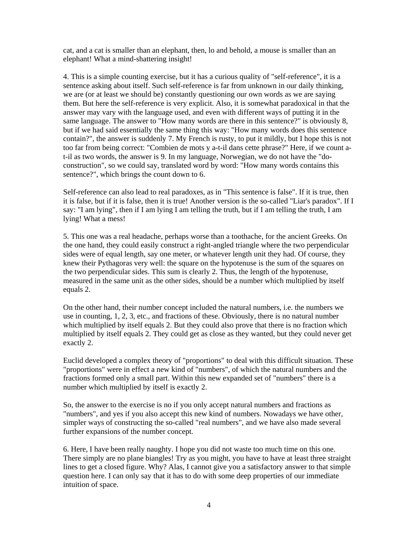cat, and a cat is smaller than an elephant, then, lo and behold, a mouse is smaller than an elephant! What a mind-shattering insight!

4. This is a simple counting exercise, but it has a curious quality of "self-reference", it is a sentence asking about itself. Such self-reference is far from unknown in our daily thinking, we are (or at least we should be) constantly questioning our own words as we are saying them. But here the self-reference is very explicit. Also, it is somewhat paradoxical in that the answer may vary with the language used, and even with different ways of putting it in the same language. The answer to "How many words are there in this sentence?" is obviously 8, but if we had said essentially the same thing this way: "How many words does this sentence contain?", the answer is suddenly 7. My French is rusty, to put it mildly, but I hope this is not too far from being correct: "Combien de mots y a-t-il dans cette phrase?" Here, if we count at-il as two words, the answer is 9. In my language, Norwegian, we do not have the "doconstruction", so we could say, translated word by word: "How many words contains this sentence?", which brings the count down to 6.

Self-reference can also lead to real paradoxes, as in "This sentence is false". If it is true, then it is false, but if it is false, then it is true! Another version is the so-called "Liar's paradox". If I say: "I am lying", then if I am lying I am telling the truth, but if I am telling the truth, I am lying! What a mess!

5. This one was a real headache, perhaps worse than a toothache, for the ancient Greeks. On the one hand, they could easily construct a right-angled triangle where the two perpendicular sides were of equal length, say one meter, or whatever length unit they had. Of course, they knew their Pythagoras very well: the square on the hypotenuse is the sum of the squares on the two perpendicular sides. This sum is clearly 2. Thus, the length of the hypotenuse, measured in the same unit as the other sides, should be a number which multiplied by itself equals 2.

On the other hand, their number concept included the natural numbers, i.e. the numbers we use in counting, 1, 2, 3, etc., and fractions of these. Obviously, there is no natural number which multiplied by itself equals 2. But they could also prove that there is no fraction which multiplied by itself equals 2. They could get as close as they wanted, but they could never get exactly 2.

Euclid developed a complex theory of "proportions" to deal with this difficult situation. These "proportions" were in effect a new kind of "numbers", of which the natural numbers and the fractions formed only a small part. Within this new expanded set of "numbers" there is a number which multiplied by itself is exactly 2.

So, the answer to the exercise is no if you only accept natural numbers and fractions as "numbers", and yes if you also accept this new kind of numbers. Nowadays we have other, simpler ways of constructing the so-called "real numbers", and we have also made several further expansions of the number concept.

6. Here, I have been really naughty. I hope you did not waste too much time on this one. There simply are no plane biangles! Try as you might, you have to have at least three straight lines to get a closed figure. Why? Alas, I cannot give you a satisfactory answer to that simple question here. I can only say that it has to do with some deep properties of our immediate intuition of space.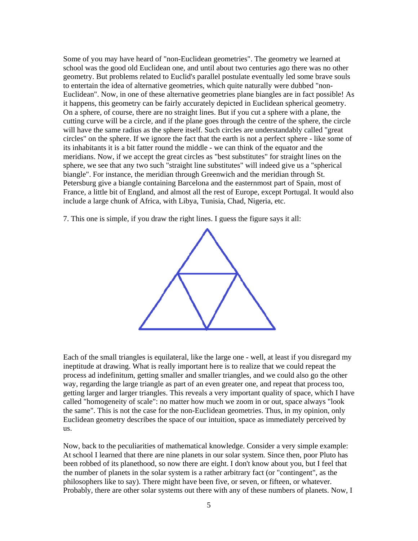Some of you may have heard of "non-Euclidean geometries". The geometry we learned at school was the good old Euclidean one, and until about two centuries ago there was no other geometry. But problems related to Euclid's parallel postulate eventually led some brave souls to entertain the idea of alternative geometries, which quite naturally were dubbed "non-Euclidean". Now, in one of these alternative geometries plane biangles are in fact possible! As it happens, this geometry can be fairly accurately depicted in Euclidean spherical geometry. On a sphere, of course, there are no straight lines. But if you cut a sphere with a plane, the cutting curve will be a circle, and if the plane goes through the centre of the sphere, the circle will have the same radius as the sphere itself. Such circles are understandably called "great circles" on the sphere. If we ignore the fact that the earth is not a perfect sphere - like some of its inhabitants it is a bit fatter round the middle - we can think of the equator and the meridians. Now, if we accept the great circles as "best substitutes" for straight lines on the sphere, we see that any two such "straight line substitutes" will indeed give us a "spherical biangle". For instance, the meridian through Greenwich and the meridian through St. Petersburg give a biangle containing Barcelona and the easternmost part of Spain, most of France, a little bit of England, and almost all the rest of Europe, except Portugal. It would also include a large chunk of Africa, with Libya, Tunisia, Chad, Nigeria, etc.

7. This one is simple, if you draw the right lines. I guess the figure says it all:



Each of the small triangles is equilateral, like the large one - well, at least if you disregard my ineptitude at drawing. What is really important here is to realize that we could repeat the process ad indefinitum, getting smaller and smaller triangles, and we could also go the other way, regarding the large triangle as part of an even greater one, and repeat that process too, getting larger and larger triangles. This reveals a very important quality of space, which I have called "homogeneity of scale": no matter how much we zoom in or out, space always "look the same". This is not the case for the non-Euclidean geometries. Thus, in my opinion, only Euclidean geometry describes the space of our intuition, space as immediately perceived by us.

Now, back to the peculiarities of mathematical knowledge. Consider a very simple example: At school I learned that there are nine planets in our solar system. Since then, poor Pluto has been robbed of its planethood, so now there are eight. I don't know about you, but I feel that the number of planets in the solar system is a rather arbitrary fact (or "contingent", as the philosophers like to say). There might have been five, or seven, or fifteen, or whatever. Probably, there are other solar systems out there with any of these numbers of planets. Now, I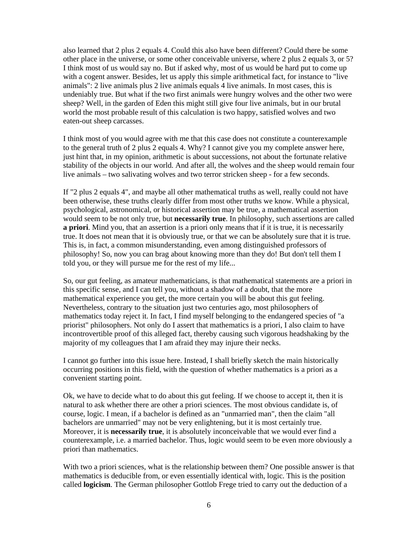also learned that 2 plus 2 equals 4. Could this also have been different? Could there be some other place in the universe, or some other conceivable universe, where 2 plus 2 equals 3, or 5? I think most of us would say no. But if asked why, most of us would be hard put to come up with a cogent answer. Besides, let us apply this simple arithmetical fact, for instance to "live animals": 2 live animals plus 2 live animals equals 4 live animals. In most cases, this is undeniably true. But what if the two first animals were hungry wolves and the other two were sheep? Well, in the garden of Eden this might still give four live animals, but in our brutal world the most probable result of this calculation is two happy, satisfied wolves and two eaten-out sheep carcasses.

I think most of you would agree with me that this case does not constitute a counterexample to the general truth of 2 plus 2 equals 4. Why? I cannot give you my complete answer here, just hint that, in my opinion, arithmetic is about successions, not about the fortunate relative stability of the objects in our world. And after all, the wolves and the sheep would remain four live animals – two salivating wolves and two terror stricken sheep - for a few seconds.

If "2 plus 2 equals 4", and maybe all other mathematical truths as well, really could not have been otherwise, these truths clearly differ from most other truths we know. While a physical, psychological, astronomical, or historical assertion may be true, a mathematical assertion would seem to be not only true, but **necessarily true**. In philosophy, such assertions are called **a priori**. Mind you, that an assertion is a priori only means that if it is true, it is necessarily true. It does not mean that it is obviously true, or that we can be absolutely sure that it is true. This is, in fact, a common misunderstanding, even among distinguished professors of philosophy! So, now you can brag about knowing more than they do! But don't tell them I told you, or they will pursue me for the rest of my life...

So, our gut feeling, as amateur mathematicians, is that mathematical statements are a priori in this specific sense, and I can tell you, without a shadow of a doubt, that the more mathematical experience you get, the more certain you will be about this gut feeling. Nevertheless, contrary to the situation just two centuries ago, most philosophers of mathematics today reject it. In fact, I find myself belonging to the endangered species of "a priorist" philosophers. Not only do I assert that mathematics is a priori, I also claim to have incontrovertible proof of this alleged fact, thereby causing such vigorous headshaking by the majority of my colleagues that I am afraid they may injure their necks.

I cannot go further into this issue here. Instead, I shall briefly sketch the main historically occurring positions in this field, with the question of whether mathematics is a priori as a convenient starting point.

Ok, we have to decide what to do about this gut feeling. If we choose to accept it, then it is natural to ask whether there are other a priori sciences. The most obvious candidate is, of course, logic. I mean, if a bachelor is defined as an "unmarried man", then the claim "all bachelors are unmarried" may not be very enlightening, but it is most certainly true. Moreover, it is **necessarily true**, it is absolutely inconceivable that we would ever find a counterexample, i.e. a married bachelor. Thus, logic would seem to be even more obviously a priori than mathematics.

With two a priori sciences, what is the relationship between them? One possible answer is that mathematics is deducible from, or even essentially identical with, logic. This is the position called **logicism**. The German philosopher Gottlob Frege tried to carry out the deduction of a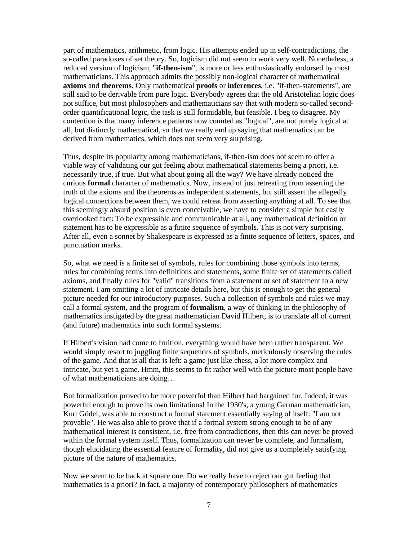part of mathematics, arithmetic, from logic. His attempts ended up in self-contradictions, the so-called paradoxes of set theory. So, logicism did not seem to work very well. Nonetheless, a reduced version of logicism, "**if-then-ism**", is more or less enthusiastically endorsed by most mathematicians. This approach admits the possibly non-logical character of mathematical **axioms** and **theorems**. Only mathematical **proofs** or **inferences**, i.e. "if-then-statements", are still said to be derivable from pure logic. Everybody agrees that the old Aristotelian logic does not suffice, but most philosophers and mathematicians say that with modern so-called secondorder quantificational logic, the task is still formidable, but feasible. I beg to disagree. My contention is that many inference patterns now counted as "logical", are not purely logical at all, but distinctly mathematical, so that we really end up saying that mathematics can be derived from mathematics, which does not seem very surprising.

Thus, despite its popularity among mathematicians, if-then-ism does not seem to offer a viable way of validating our gut feeling about mathematical statements being a priori, i.e. necessarily true, if true. But what about going all the way? We have already noticed the curious **formal** character of mathematics. Now, instead of just retreating from asserting the truth of the axioms and the theorems as independent statements, but still assert the allegedly logical connections between them, we could retreat from asserting anything at all. To see that this seemingly absurd position is even conceivable, we have to consider a simple but easily overlooked fact: To be expressible and communicable at all, any mathematical definition or statement has to be expressible as a finite sequence of symbols. This is not very surprising. After all, even a sonnet by Shakespeare is expressed as a finite sequence of letters, spaces, and punctuation marks.

So, what we need is a finite set of symbols, rules for combining those symbols into terms, rules for combining terms into definitions and statements, some finite set of statements called axioms, and finally rules for "valid" transitions from a statement or set of statement to a new statement. I am omitting a lot of intricate details here, but this is enough to get the general picture needed for our introductory purposes. Such a collection of symbols and rules we may call a formal system, and the program of **formalism**, a way of thinking in the philosophy of mathematics instigated by the great mathematician David Hilbert, is to translate all of current (and future) mathematics into such formal systems.

If Hilbert's vision had come to fruition, everything would have been rather transparent. We would simply resort to juggling finite sequences of symbols, meticulously observing the rules of the game. And that is all that is left: a game just like chess, a lot more complex and intricate, but yet a game. Hmm, this seems to fit rather well with the picture most people have of what mathematicians are doing…

But formalization proved to be more powerful than Hilbert had bargained for. Indeed, it was powerful enough to prove its own limitations! In the 1930's, a young German mathematician, Kurt Gödel, was able to construct a formal statement essentially saying of itself: "I am not provable". He was also able to prove that if a formal system strong enough to be of any mathematical interest is consistent, i.e. free from contradictions, then this can never be proved within the formal system itself. Thus, formalization can never be complete, and formalism, though elucidating the essential feature of formality, did not give us a completely satisfying picture of the nature of mathematics.

Now we seem to be back at square one. Do we really have to reject our gut feeling that mathematics is a priori? In fact, a majority of contemporary philosophers of mathematics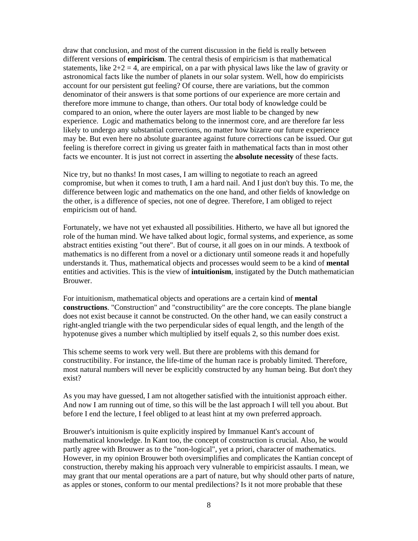draw that conclusion, and most of the current discussion in the field is really between different versions of **empiricism**. The central thesis of empiricism is that mathematical statements, like  $2+2=4$ , are empirical, on a par with physical laws like the law of gravity or astronomical facts like the number of planets in our solar system. Well, how do empiricists account for our persistent gut feeling? Of course, there are variations, but the common denominator of their answers is that some portions of our experience are more certain and therefore more immune to change, than others. Our total body of knowledge could be compared to an onion, where the outer layers are most liable to be changed by new experience. Logic and mathematics belong to the innermost core, and are therefore far less likely to undergo any substantial corrections, no matter how bizarre our future experience may be. But even here no absolute guarantee against future corrections can be issued. Our gut feeling is therefore correct in giving us greater faith in mathematical facts than in most other facts we encounter. It is just not correct in asserting the **absolute necessity** of these facts.

Nice try, but no thanks! In most cases, I am willing to negotiate to reach an agreed compromise, but when it comes to truth, I am a hard nail. And I just don't buy this. To me, the difference between logic and mathematics on the one hand, and other fields of knowledge on the other, is a difference of species, not one of degree. Therefore, I am obliged to reject empiricism out of hand.

Fortunately, we have not yet exhausted all possibilities. Hitherto, we have all but ignored the role of the human mind. We have talked about logic, formal systems, and experience, as some abstract entities existing "out there". But of course, it all goes on in our minds. A textbook of mathematics is no different from a novel or a dictionary until someone reads it and hopefully understands it. Thus, mathematical objects and processes would seem to be a kind of **mental** entities and activities. This is the view of **intuitionism**, instigated by the Dutch mathematician Brouwer.

For intuitionism, mathematical objects and operations are a certain kind of **mental constructions**. "Construction" and "constructibility" are the core concepts. The plane biangle does not exist because it cannot be constructed. On the other hand, we can easily construct a right-angled triangle with the two perpendicular sides of equal length, and the length of the hypotenuse gives a number which multiplied by itself equals 2, so this number does exist.

This scheme seems to work very well. But there are problems with this demand for constructibility. For instance, the life-time of the human race is probably limited. Therefore, most natural numbers will never be explicitly constructed by any human being. But don't they exist?

As you may have guessed, I am not altogether satisfied with the intuitionist approach either. And now I am running out of time, so this will be the last approach I will tell you about. But before I end the lecture, I feel obliged to at least hint at my own preferred approach.

Brouwer's intuitionism is quite explicitly inspired by Immanuel Kant's account of mathematical knowledge. In Kant too, the concept of construction is crucial. Also, he would partly agree with Brouwer as to the "non-logical", yet a priori, character of mathematics. However, in my opinion Brouwer both oversimplifies and complicates the Kantian concept of construction, thereby making his approach very vulnerable to empiricist assaults. I mean, we may grant that our mental operations are a part of nature, but why should other parts of nature, as apples or stones, conform to our mental predilections? Is it not more probable that these